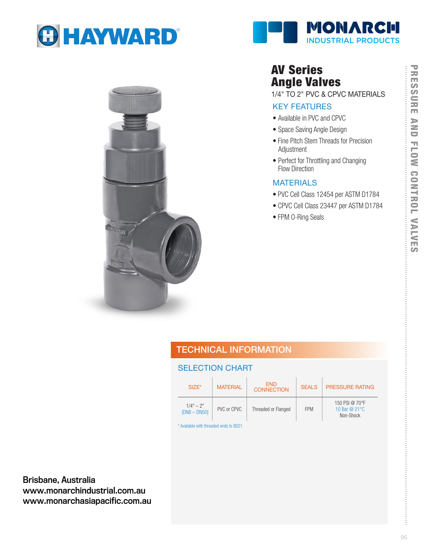





## AV Series Angle Valves

1/4" TO 2" PVC & CPVC MATERIALS

## KEY FEATURES

- Available in PVC and CPVC
- Space Saving Angle Design
- Fine Pitch Stem Threads for Precision Adjustment
- Perfect for Throttling and Changing Flow Direction

### **MATERIALS**

- PVC Cell Class 12454 per ASTM D1784
- CPVC Cell Class 23447 per ASTM D1784
- FPM O-Ring Seals

## TECHNICAL INFORMATION

## SELECTION CHART

| $SIZE^*$                      | <b>MATERIAL</b> | <b>FND</b><br><b>CONNECTION</b> | <b>SEALS</b> | PRESSURE RATING                               |
|-------------------------------|-----------------|---------------------------------|--------------|-----------------------------------------------|
| $1/4" - 2"$<br>$(DN8 - DN50)$ | PVC or CPVC     | Threaded or Flanged             | <b>FPM</b>   | 150 PSI @ 70°F<br>10 Bar $@21°C$<br>Non-Shock |

\* Available with threaded ends to BS21.

Brisbane, Australia www.monarchindustrial.com.au www.monarchasiapacific.com.au

÷